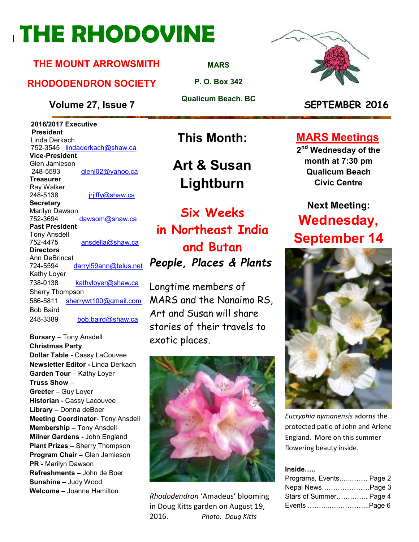# <sup>l</sup>**THE RHODOVINE**

#### **THE MOUNT ARROWSMITH**

#### **RHODODENDRON SOCIETY**

**Volume 27, Issue 7 SEPTEMBER 2016**

 **2016/2017 Executive President**  Linda Derkach 752-3545 lindaderkach@shaw.ca **Vice-President**  Glen Jamieson 248-5593 glenj02@yahoo.ca **Treasurer**  Ray Walker 248-5138 **jriiffy@shaw.ca Secretary** Marilyn Dawson 752-3694 dawsom@shaw.ca **Past President**  Tony Ansdell 752-4475 ansdella@shaw.ca **Directors**  Ann DeBrincat 724-5594 darryl59ann@telus.net Kathy Loyer 738-0138 kathyloyer@shaw.ca Sherry Thompson 586-5811 sherrywt100@gmail.com Bob Baird 248-3389 bob.baird@shaw.ca

**Bursary** – Tony Ansdell **Christmas Party Dollar Table -** Cassy LaCouvee **Newsletter Editor -** Linda Derkach **Garden Tour** – Kathy Loyer **Truss Show** – **Greeter –** Guy Loyer **Historian -** Cassy Lacouvee **Library –** Donna deBoer **Meeting Coordinator- Tony Ansdell Membership –** Tony Ansdell **Milner Gardens -** John England **Plant Prizes –** Sherry Thompson **Program Chair –** Glen Jamieson **PR -** Marilyn Dawson **Refreshments –** John de Boer **Sunshine –** Judy Wood **Welcome –** Joanne Hamilton

**MARS**

**P. O. Box 342** 

**Qualicum Beach. BC** 

### **This Month:**

**Art & Susan Lightburn** 

### **Six Weeks in Northeast India and Butan**  *People, Places & Plants*

Longtime members of MARS and the Nanaimo RS, Art and Susan will share stories of their travels to exotic places.



*Rhododendron* 'Amadeus' blooming in Doug Kitts garden on August 19, 2016. *Photo: Doug Kitts*



#### **MARS Meetings**

**2 nd Wednesday of the month at 7:30 pm Qualicum Beach Civic Centre** 

### **Next Meeting: Wednesday, September 14**



*Eucryphia nymanensis* adorns the protected patio of John and Arlene England. More on this summer flowering beauty inside.

**Inside…..** 

| Programs, Events Page 2 |  |
|-------------------------|--|
| Nepal NewsPage 3        |  |
| Stars of Summer Page 4  |  |
| Events Page 6           |  |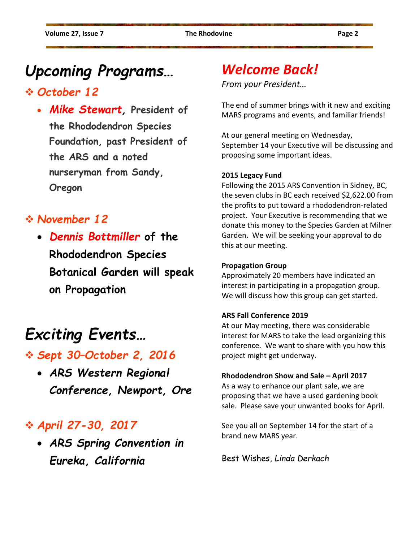### *Upcoming Programs…*

#### *October 12*

• *Mike Stewart,* **President of the Rhododendron Species Foundation, past President of the ARS and a noted nurseryman from Sandy, Oregon**

#### *November 12*

• *Dennis Bottmiller* **of the Rhododendron Species Botanical Garden will speak on Propagation** 

### *Exciting Events…*

- *Sept 30–October 2, 2016* 
	- *ARS Western Regional Conference, Newport, Ore*

### *April 27-30, 2017*

• *ARS Spring Convention in Eureka, California* 

### *Welcome Back!*

*From your President…* 

The end of summer brings with it new and exciting MARS programs and events, and familiar friends!

At our general meeting on Wednesday, September 14 your Executive will be discussing and proposing some important ideas.

#### **2015 Legacy Fund**

Following the 2015 ARS Convention in Sidney, BC, the seven clubs in BC each received \$2,622.00 from the profits to put toward a rhododendron-related project. Your Executive is recommending that we donate this money to the Species Garden at Milner Garden. We will be seeking your approval to do this at our meeting.

#### **Propagation Group**

Approximately 20 members have indicated an interest in participating in a propagation group. We will discuss how this group can get started.

#### **ARS Fall Conference 2019**

At our May meeting, there was considerable interest for MARS to take the lead organizing this conference. We want to share with you how this project might get underway.

#### **Rhododendron Show and Sale – April 2017**

As a way to enhance our plant sale, we are proposing that we have a used gardening book sale. Please save your unwanted books for April.

See you all on September 14 for the start of a brand new MARS year.

Best Wishes, *Linda Derkach*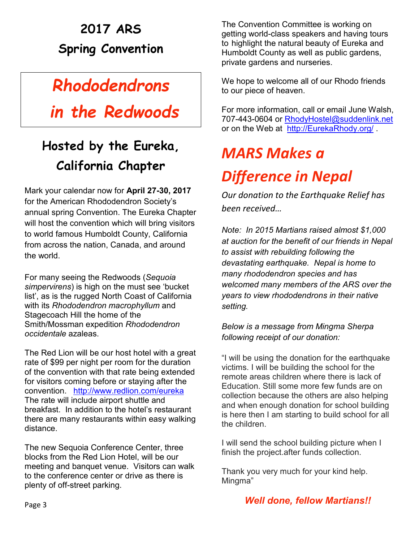### **2017 ARS Spring Convention**

### *Rhododendrons*

### *in the Redwoods*

### **Hosted by the Eureka, California Chapter**

Mark your calendar now for **April 27-30, 2017**  for the American Rhododendron Society's annual spring Convention. The Eureka Chapter will host the convention which will bring visitors to world famous Humboldt County, California from across the nation, Canada, and around the world.

For many seeing the Redwoods (*Sequoia simpervirens*) is high on the must see 'bucket list', as is the rugged North Coast of California with its *Rhododendron macrophyllum* and Stagecoach Hill the home of the Smith/Mossman expedition *Rhododendron occidentale* azaleas.

The Red Lion will be our host hotel with a great rate of \$99 per night per room for the duration of the convention with that rate being extended for visitors coming before or staying after the convention. http://www.redlion.com/eureka The rate will include airport shuttle and breakfast. In addition to the hotel's restaurant there are many restaurants within easy walking distance.

The new Sequoia Conference Center, three blocks from the Red Lion Hotel, will be our meeting and banquet venue. Visitors can walk to the conference center or drive as there is plenty of off-street parking.

The Convention Committee is working on getting world-class speakers and having tours to highlight the natural beauty of Eureka and Humboldt County as well as public gardens, private gardens and nurseries.

We hope to welcome all of our Rhodo friends to our piece of heaven.

For more information, call or email June Walsh, 707-443-0604 or RhodyHostel@suddenlink.net or on the Web at http://EurekaRhody.org/

## *MARS Makes a Difference in Nepal*

*Our donation to the Earthquake Relief has been received…* 

*Note: In 2015 Martians raised almost \$1,000 at auction for the benefit of our friends in Nepal to assist with rebuilding following the devastating earthquake. Nepal is home to many rhododendron species and has welcomed many members of the ARS over the years to view rhododendrons in their native setting.* 

#### *Below is a message from Mingma Sherpa following receipt of our donation:*

"I will be using the donation for the earthquake victims. I will be building the school for the remote areas children where there is lack of Education. Still some more few funds are on collection because the others are also helping and when enough donation for school building is here then I am starting to build school for all the children.

I will send the school building picture when I finish the project.after funds collection.

Thank you very much for your kind help. Mingma"

#### *Well done, fellow Martians!!*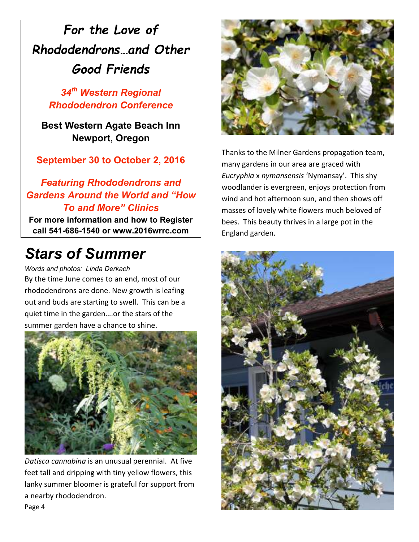### *For the Love of Rhododendrons…and Other Good Friends*

*34th Western Regional Rhododendron Conference* 

**Best Western Agate Beach Inn Newport, Oregon** 

**September 30 to October 2, 2016** 

#### *Featuring Rhododendrons and Gardens Around the World and "How To and More" Clinics*

**For more information and how to Register call 541-686-1540 or www.2016wrrc.com** 

### *Stars of Summer*

*Words and photos: Linda Derkach* 

By the time June comes to an end, most of our rhododendrons are done. New growth is leafing out and buds are starting to swell. This can be a quiet time in the garden….or the stars of the summer garden have a chance to shine.



*Datisca cannabina* is an unusual perennial. At five feet tall and dripping with tiny yellow flowers, this lanky summer bloomer is grateful for support from a nearby rhododendron. Page 4



Thanks to the Milner Gardens propagation team, many gardens in our area are graced with *Eucryphia* x *nymansensis* 'Nymansay'. This shy woodlander is evergreen, enjoys protection from wind and hot afternoon sun, and then shows off masses of lovely white flowers much beloved of bees. This beauty thrives in a large pot in the England garden.

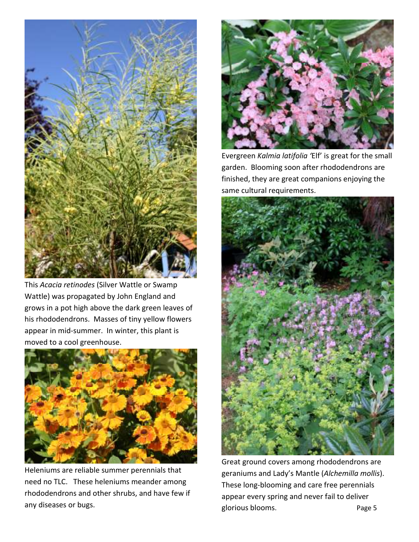

This *Acacia retinodes* (Silver Wattle or Swamp Wattle) was propagated by John England and grows in a pot high above the dark green leaves of his rhododendrons. Masses of tiny yellow flowers appear in mid-summer. In winter, this plant is moved to a cool greenhouse.



Heleniums are reliable summer perennials that need no TLC. These heleniums meander among rhododendrons and other shrubs, and have few if any diseases or bugs.



Evergreen *Kalmia latifolia '*Elf' is great for the small garden. Blooming soon after rhododendrons are finished, they are great companions enjoying the same cultural requirements.



Great ground covers among rhododendrons are geraniums and Lady's Mantle (*Alchemilla mollis*). These long-blooming and care free perennials appear every spring and never fail to deliver glorious blooms. The page 5